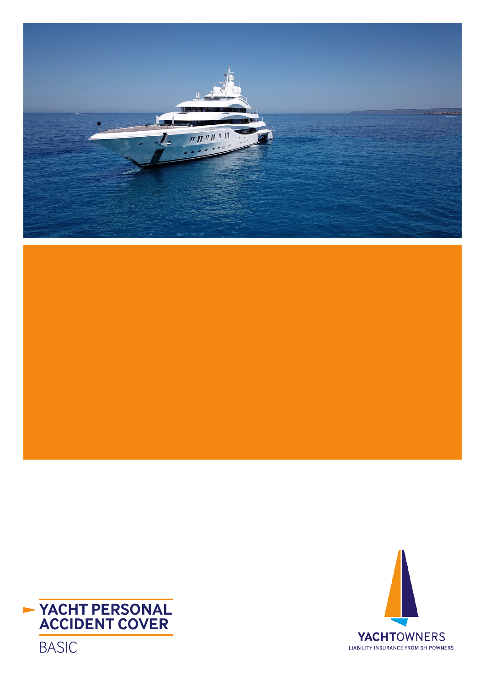





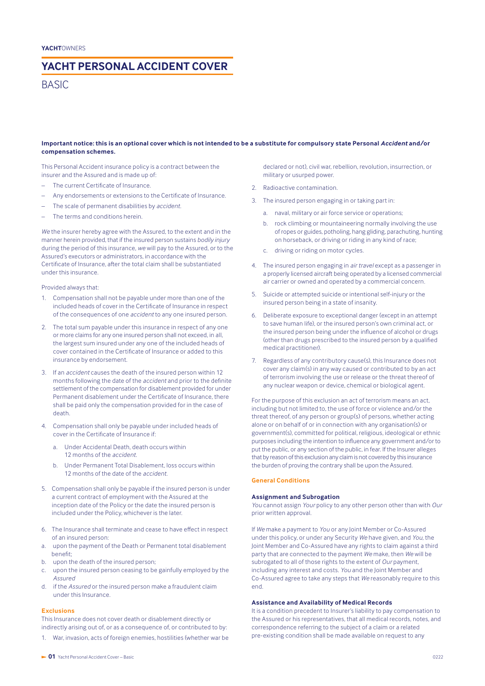## **YACHT PERSONAL ACCIDENT COVER**

## **BASIC**

#### **Important notice: this is an optional cover which is not intended to be a substitute for compulsory state Personal** *Accident* **and/or compensation schemes.**

This Personal Accident insurance policy is a contract between the insurer and the Assured and is made up of:

- The current Certificate of Insurance.
- Any endorsements or extensions to the Certificate of Insurance.
- The scale of permanent disabilities by *accident.*
- The terms and conditions herein.

*We* the insurer hereby agree with the Assured, to the extent and in the manner herein provided, that if the insured person sustains *bodily injury* during the period of this insurance, *we* will pay to the Assured, or to the Assured's executors or administrators, in accordance with the Certificate of Insurance, after the total claim shall be substantiated under this insurance.

Provided always that:

- 1. Compensation shall not be payable under more than one of the included heads of cover in the Certificate of Insurance in respect of the consequences of one *accident* to any one insured person.
- 2. The total sum payable under this insurance in respect of any one or more claims for any one insured person shall not exceed, in all, the largest sum insured under any one of the included heads of cover contained in the Certificate of Insurance or added to this insurance by endorsement.
- 3. If an *accident* causes the death of the insured person within 12 months following the date of the *accident* and prior to the definite settlement of the compensation for disablement provided for under Permanent disablement under the Certificate of Insurance, there shall be paid only the compensation provided for in the case of death.
- 4. Compensation shall only be payable under included heads of cover in the Certificate of Insurance if:
	- a. Under Accidental Death, death occurs within 12 months of the *accident*.
	- b. Under Permanent Total Disablement, loss occurs within 12 months of the date of the *accident*.
- 5. Compensation shall only be payable if the insured person is under a current contract of employment with the Assured at the inception date of the Policy or the date the insured person is included under the Policy, whichever is the later.
- 6. The Insurance shall terminate and cease to have effect in respect of an insured person:
- a. upon the payment of the Death or Permanent total disablement benefit;
- b. upon the death of the insured person;
- c. upon the insured person ceasing to be gainfully employed by the *Assured*
- d. if the *Assured* or the insured person make a fraudulent claim under this Insurance.

## **Exclusions**

This Insurance does not cover death or disablement directly or indirectly arising out of, or as a consequence of, or contributed to by:

War, invasion, acts of foreign enemies, hostilities (whether war be

declared or not), civil war, rebellion, revolution, insurrection, or military or usurped power.

- 2. Radioactive contamination.
- 3. The insured person engaging in or taking part in:
	- a. naval, military or air force service or operations;
	- b. rock climbing or mountaineering normally involving the use of ropes or guides, potholing, hang gliding, parachuting, hunting on horseback, or driving or riding in any kind of race;
	- c. driving or riding on motor cycles.
- 4. The insured person engaging in *air travel* except as a passenger in a properly licensed aircraft being operated by a licensed commercial air carrier or owned and operated by a commercial concern.
- 5. Suicide or attempted suicide or intentional self-injury or the insured person being in a state of insanity.
- 6. Deliberate exposure to exceptional danger (except in an attempt to save human life), or the insured person's own criminal act, or the insured person being under the influence of alcohol or drugs (other than drugs prescribed to the insured person by a qualified medical practitioner).
- 7. Regardless of any contributory cause(s), this Insurance does not cover any claim(s) in any way caused or contributed to by an act of terrorism involving the use or release or the threat thereof of any nuclear weapon or device, chemical or biological agent.

For the purpose of this exclusion an act of terrorism means an act, including but not limited to, the use of force or violence and/or the threat thereof, of any person or group(s) of persons, whether acting alone or on behalf of or in connection with any organisation(s) or government(s), committed for political, religious, ideological or ethnic purposes including the intention to influence any government and/or to put the public, or any section of the public, in fear. If the Insurer alleges that by reason of this exclusion any claim is not covered by this insurance the burden of proving the contrary shall be upon the Assured.

## **General Conditions**

#### **Assignment and Subrogation**

*You* cannot assign *Your* policy to any other person other than with *Our* prior written approval.

If *We* make a payment to *You* or any Joint Member or Co-Assured under this policy, or under any Security *We* have given, and *You*, the Joint Member and Co-Assured have any rights to claim against a third party that are connected to the payment *We* make, then *We* will be subrogated to all of those rights to the extent of *Our* payment, including any interest and costs. *You* and the Joint Member and Co-Assured agree to take any steps that *We* reasonably require to this end.

#### **Assistance and Availability of Medical Records**

It is a condition precedent to Insurer's liability to pay compensation to the Assured or his representatives, that all medical records, notes, and correspondence referring to the subject of a claim or a related pre-existing condition shall be made available on request to any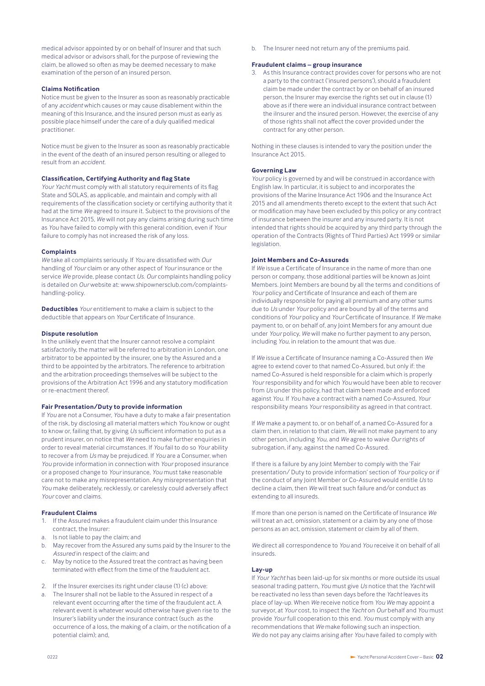medical advisor appointed by or on behalf of Insurer and that such medical advisor or advisors shall, for the purpose of reviewing the claim, be allowed so often as may be deemed necessary to make examination of the person of an insured person.

#### **Claims Notification**

Notice must be given to the Insurer as soon as reasonably practicable of any *accident* which causes or may cause disablement within the meaning of this Insurance, and the insured person must as early as possible place himself under the care of a duly qualified medical practitioner.

Notice must be given to the Insurer as soon as reasonably practicable in the event of the death of an insured person resulting or alleged to result from an *accident*.

#### **Classification, Certifying Authority and flag State**

*Your Yacht* must comply with all statutory requirements of its flag State and SOLAS, as applicable, and maintain and comply with all requirements of the classification society or certifying authority that it had at the time *We* agreed to insure it. Subject to the provisions of the Insurance Act 2015, *We* will not pay any claims arising during such time as *You* have failed to comply with this general condition, even if *Your* failure to comply has not increased the risk of any loss.

#### **Complaints**

*We* take all complaints seriously. If *You* are dissatisfied with *Our* handling of *Your* claim or any other aspect of *Your* insurance or the service *We* provide, please contact *Us*. *Our* complaints handling policy is detailed on *Our* website at: www.shipownersclub.com/complaintshandling-policy.

**Deductibles** *Your* entitlement to make a claim is subject to the deductible that appears on *Your* Certificate of Insurance.

#### **Dispute resolution**

In the unlikely event that the Insurer cannot resolve a complaint satisfactorily, the matter will be referred to arbitration in London, one arbitrator to be appointed by the insurer, one by the Assured and a third to be appointed by the arbitrators. The reference to arbitration and the arbitration proceedings themselves will be subject to the provisions of the Arbitration Act 1996 and any statutory modification or re-enactment thereof.

#### **Fair Presentation/Duty to provide information**

If *You* are not a Consumer, *You* have a duty to make a fair presentation of the risk, by disclosing all material matters which *You* know or ought to know or, failing that, by giving *Us* sufficient information to put as a prudent insurer, on notice that *We* need to make further enquiries in order to reveal material circumstances. If *You* fail to do so *Your* ability to recover a from *Us* may be prejudiced. If *You* are a Consumer, when *You* provide information in connection with *Your* proposed insurance or a proposed change to *Your* insurance, *You* must take reasonable care not to make any misrepresentation. Any misrepresentation that *You* make deliberately, recklessly, or carelessly could adversely affect *Your* cover and claims.

### **Fraudulent Claims**

- 1. If the Assured makes a fraudulent claim under this Insurance contract, the Insurer:
- a. Is not liable to pay the claim; and
- b. May recover from the Assured any sums paid by the Insurer to the *Assured* in respect of the claim; and
- c. May by notice to the Assured treat the contract as having been terminated with effect from the time of the fraudulent act.
- 2. If the Insurer exercises its right under clause (1) (c) above:
- The Insurer shall not be liable to the Assured in respect of a relevant event occurring after the time of the fraudulent act. A relevant event is whatever would otherwise have given rise to the Insurer's liability under the insurance contract (such as the occurrence of a loss, the making of a claim, or the notification of a potential claim); and,

b. The Insurer need not return any of the premiums paid.

#### **Fraudulent claims – group insurance**

As this Insurance contract provides cover for persons who are not a party to the contract ('insured persons'), should a fraudulent claim be made under the contract by or on behalf of an insured person, the Insurer may exercise the rights set out in clause (1) above as if there were an individual insurance contract between the ilnsurer and the insured person. However, the exercise of any of those rights shall not affect the cover provided under the contract for any other person.

Nothing in these clauses is intended to vary the position under the Insurance Act 2015.

#### **Governing Law**

*Your* policy is governed by and will be construed in accordance with English law. In particular, it is subject to and incorporates the provisions of the Marine Insurance Act 1906 and the Insurance Act 2015 and all amendments thereto except to the extent that such Act or modification may have been excluded by this policy or any contract of insurance between the insurer and any insured party. It is not intended that rights should be acquired by any third party through the operation of the Contracts (Rights of Third Parties) Act 1999 or similar legislation.

#### **Joint Members and Co-Assureds**

If *We* issue a Certificate of Insurance in the name of more than one person or company, those additional parties will be known as Joint Members. Joint Members are bound by all the terms and conditions of *Your* policy and Certificate of Insurance and each of them are individually responsible for paying all premium and any other sums due to *Us* under *Your* policy and are bound by all of the terms and conditions of *Your* policy and *Your* Certificate of Insurance. If *We* make payment to, or on behalf of, any Joint Members for any amount due under *Your* policy, *We* will make no further payment to any person, including *You*, in relation to the amount that was due.

If *We* issue a Certificate of Insurance naming a Co-Assured then *We* agree to extend cover to that named Co-Assured, but only if: the named Co-Assured is held responsible for a claim which is properly *Your* responsibility and for which *You* would have been able to recover from *Us* under this policy, had that claim been made and enforced against *You*. If *You* have a contract with a named Co-Assured, *Your* responsibility means *Your* responsibility as agreed in that contract.

If *We* make a payment to, or on behalf of, a named Co-Assured for a claim then, in relation to that claim, *We* will not make payment to any other person, including *You*, and *We* agree to waive *Our* rights of subrogation, if any, against the named Co-Assured.

If there is a failure by any Joint Member to comply with the 'Fair presentation/ Duty to provide information' section of *Your* policy or if the conduct of any Joint Member or Co-Assured would entitle *Us* to decline a claim, then *We* will treat such failure and/or conduct as extending to all insureds.

If more than one person is named on the Certificate of Insurance *We* will treat an act, omission, statement or a claim by any one of those persons as an act, omission, statement or claim by all of them.

*We* direct all correspondence to *You* and *You* receive it on behalf of all insureds.

#### **Lay-up**

If *Your Yacht* has been laid-up for six months or more outside its usual seasonal trading pattern, *You* must give *Us* notice that the *Yacht* will be reactivated no less than seven days before the *Yacht* leaves its place of lay-up. When *We* receive notice from *You We* may appoint a surveyor, at *Your* cost, to inspect the *Yacht* on *Our* behalf and *You* must provide *Your* full cooperation to this end. *You* must comply with any recommendations that *We* make following such an inspection. *We* do not pay any claims arising after *You* have failed to comply with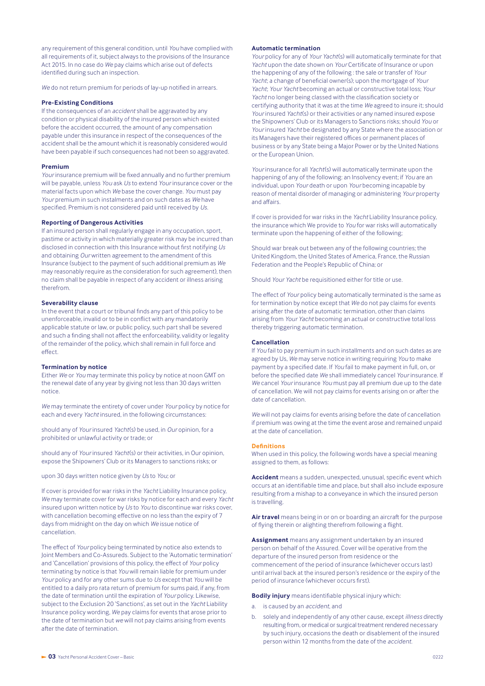any requirement of this general condition, until *You* have complied with all requirements of it, subject always to the provisions of the Insurance Act 2015. In no case do *We* pay claims which arise out of defects identified during such an inspection.

*We* do not return premium for periods of lay-up notified in arrears.

### **Pre-Existing Conditions**

If the consequences of an *accident* shall be aggravated by any condition or physical disability of the insured person which existed before the accident occurred, the amount of any compensation payable under this insurance in respect of the consequences of the accident shall be the amount which it is reasonably considered would have been payable if such consequences had not been so aggravated.

#### **Premium**

*Your* insurance premium will be fixed annually and no further premium will be payable, unless *You* ask *Us* to extend *Your* insurance cover or the material facts upon which *We* base the cover change. *You* must pay *Your* premium in such instalments and on such dates as *We* have specified. Premium is not considered paid until received by *Us*.

#### **Reporting of Dangerous Activities**

If an insured person shall regularly engage in any occupation, sport, pastime or activity in which materially greater risk may be incurred than disclosed in connection with this Insurance without first notifying *Us* and obtaining *Our* written agreement to the amendment of this Insurance (subject to the payment of such additional premium as *We* may reasonably require as the consideration for such agreement), then no claim shall be payable in respect of any accident or illness arising therefrom.

#### **Severability clause**

In the event that a court or tribunal finds any part of this policy to be unenforceable, invalid or to be in conflict with any mandatorily applicable statute or law, or public policy, such part shall be severed and such a finding shall not affect the enforceability, validity or legality of the remainder of the policy, which shall remain in full force and effect.

#### **Termination by notice**

Either *We* or *You* may terminate this policy by notice at noon GMT on the renewal date of any year by giving not less than 30 days written notice.

*We* may terminate the entirety of cover under *Your* policy by notice for each and every *Yacht* insured, in the following circumstances:

should any of *Your* insured *Yacht*(s) be used, in *Our* opinion, for a prohibited or unlawful activity or trade; or

should any of *Your* insured *Yacht*(s) or their activities, in Our opinion, expose the Shipowners' Club or its Managers to sanctions risks; or

upon 30 days written notice given by *Us* to *You*; or

If cover is provided for war risks in the *Yacht* Liability Insurance policy, *We* may terminate cover for war risks by notice for each and every *Yacht* insured upon written notice by *Us* to *You* to discontinue war risks cover, with cancellation becoming effective on no less than the expiry of 7 days from midnight on the day on which *We* issue notice of cancellation.

The effect of *Your* policy being terminated by notice also extends to Joint Members and Co-Assureds. Subject to the 'Automatic termination' and 'Cancellation' provisions of this policy, the effect of *Your* policy terminating by notice is that *You* will remain liable for premium under *Your* policy and for any other sums due to *Us* except that *You* will be entitled to a daily pro rata return of premium for sums paid, if any, from the date of termination until the expiration of *Your* policy. Likewise, subject to the Exclusion 20 'Sanctions', as set out in the *Yacht* Liability Insurance policy wording, *We* pay claims for events that arose prior to the date of termination but *we* will not pay claims arising from events after the date of termination.

#### **Automatic termination**

*Your* policy for any of *Your Yacht*(s) will automatically terminate for that *Yacht* upon the date shown on *Your* Certificate of Insurance or upon the happening of any of the following : the sale or transfer of *Your Yacht*; a change of beneficial owner(s); upon the mortgage of *Your Yacht*; *Your Yacht* becoming an actual or constructive total loss; *Your Yacht* no longer being classed with the classification society or certifying authority that it was at the time *We* agreed to insure it; should *Your* insured *Yacht*(s) or their activities or any named insured expose the Shipowners' Club or its Managers to Sanctions risks; should *You* or *Your* insured *Yacht* be designated by any State where the association or its Managers have their registered offices or permanent places of business or by any State being a Major Power or by the United Nations or the European Union.

*Your* insurance for all *Yacht*(s) will automatically terminate upon the happening of any of the following: an Insolvency event; if *You* are an individual, upon *Your* death or upon *Your* becoming incapable by reason of mental disorder of managing or administering *Your* property and affairs.

If cover is provided for war risks in the *Yacht* Liability Insurance policy, the insurance which We provide to *You* for war risks will automatically terminate upon the happening of either of the following;

Should war break out between any of the following countries; the United Kingdom, the United States of America, France, the Russian Federation and the People's Republic of China; or

Should *Your Yacht* be requisitioned either for title or use.

The effect of *Your* policy being automatically terminated is the same as for termination by notice except that *We* do not pay claims for events arising after the date of automatic termination, other than claims arising from *Your Yacht* becoming an actual or constructive total loss thereby triggering automatic termination.

### **Cancellation**

If *You* fail to pay premium in such installments and on such dates as are agreed by Us, *We* may serve notice in writing requiring *You* to make payment by a specified date. If *You* fail to make payment in full, on, or before the specified date *We* shall immediately cancel *Your* insurance. If *We* cancel *Your* insurance *You* must pay all premium due up to the date of cancellation. We will not pay claims for events arising on or after the date of cancellation.

*We* will not pay claims for events arising before the date of cancellation if premium was owing at the time the event arose and remained unpaid at the date of cancellation.

#### **Definitions**

When used in this policy, the following words have a special meaning assigned to them, as follows:

**Accident** means a sudden, unexpected, unusual, specific event which occurs at an identifiable time and place, but shall also include exposure resulting from a mishap to a conveyance in which the insured person is travelling.

**Air travel** means being in or on or boarding an aircraft for the purpose of flying therein or alighting therefrom following a flight.

**Assignment** means any assignment undertaken by an insured person on behalf of the Assured. Cover will be operative from the departure of the insured person from residence or the commencement of the period of insurance (whichever occurs last) until arrival back at the insured person's residence or the expiry of the period of insurance (whichever occurs first).

**Bodily injury** means identifiable physical injury which:

- a. is caused by an *accident*, and
- b. solely and independently of any other cause, except *illness* directly resulting from, or medical or surgical treatment rendered necessary by such injury, occasions the death or disablement of the insured person within 12 months from the date of the *accident*.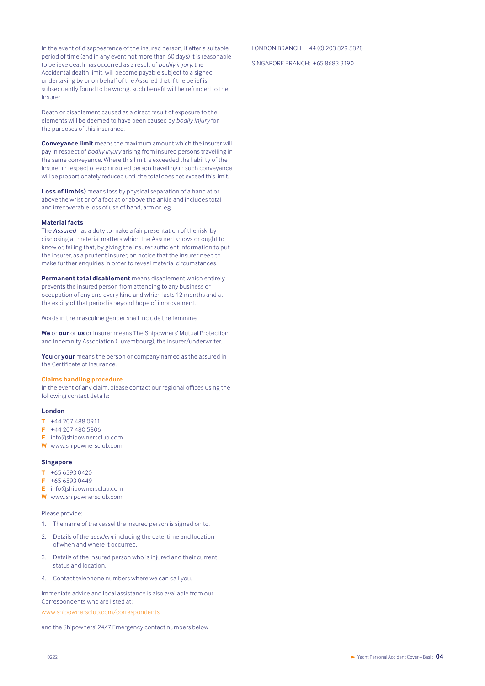In the event of disappearance of the insured person, if after a suitable period of time (and in any event not more than 60 days) it is reasonable to believe death has occurred as a result of *bodily injury*, the Accidental dealth limit, will become payable subject to a signed undertaking by or on behalf of the Assured that if the belief is subsequently found to be wrong, such benefit will be refunded to the Insurer.

Death or disablement caused as a direct result of exposure to the elements will be deemed to have been caused by *bodily injury* for the purposes of this insurance.

**Conveyance limit** means the maximum amount which the insurer will pay in respect of *bodily injury* arising from insured persons travelling in the same conveyance. Where this limit is exceeded the liability of the Insurer in respect of each insured person travelling in such conveyance will be proportionately reduced until the total does not exceed this limit.

**Loss of limb(s)** means loss by physical separation of a hand at or above the wrist or of a foot at or above the ankle and includes total and irrecoverable loss of use of hand, arm or leg.

#### **Material facts**

The *Assured* has a duty to make a fair presentation of the risk, by disclosing all material matters which the Assured knows or ought to know or, failing that, by giving the insurer sufficient information to put the insurer, as a prudent insurer, on notice that the insurer need to make further enquiries in order to reveal material circumstances.

**Permanent total disablement** means disablement which entirely prevents the insured person from attending to any business or occupation of any and every kind and which lasts 12 months and at the expiry of that period is beyond hope of improvement.

Words in the masculine gender shall include the feminine.

**We** or **our** or **us** or Insurer means The Shipowners' Mutual Protection and Indemnity Association (Luxembourg), the insurer/underwriter.

**You** or **your** means the person or company named as the assured in the Certificate of Insurance.

## **Claims handling procedure**

In the event of any claim, please contact our regional offices using the following contact details:

#### **London**

- **T** +44 207 488 0911
- **F** +44 207 480 5806
- **E** info@shipownersclub.com
- **W** www.shipownersclub.com

#### **Singapore**

- **T** +65 6593 0420
- **F** +65 6593 0449
- **E** info@shipownersclub.com
- **W** www.shipownersclub.com

Please provide:

- 1. The name of the vessel the insured person is signed on to.
- 2. Details of the *accident* including the date, time and location of when and where it occurred.
- 3. Details of the insured person who is injured and their current status and location.
- 4. Contact telephone numbers where we can call you.

Immediate advice and local assistance is also available from our Correspondents who are listed at: www.shipownersclub.com/correspondents

and the Shipowners' 24/7 Emergency contact numbers below:

#### LONDON BRANCH: +44 (0) 203 829 5828

SINGAPORE BRANCH: +65 8683 3190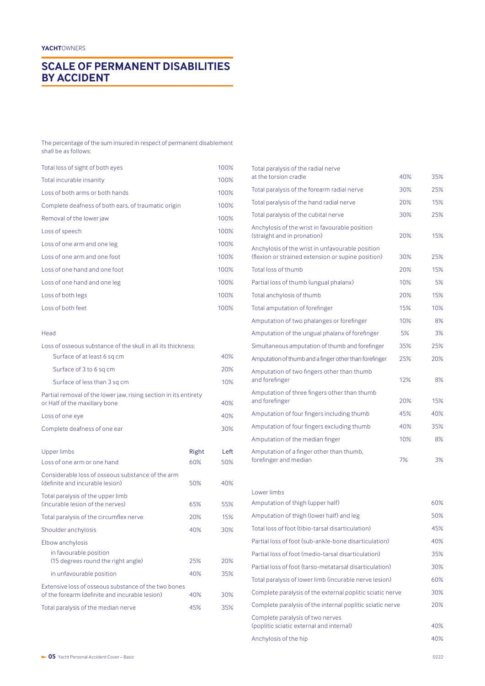# **SCALE OF PERMANENT DISABILITIES BY ACCIDENT**

#### The percentage of the sum insured in respect of permanent disablement shall be as follows:

| Total loss of sight of both eyes                    | 100% |
|-----------------------------------------------------|------|
| Total incurable insanity                            | 100% |
| Loss of both arms or both hands                     | 100% |
| Complete deafness of both ears, of traumatic origin | 100% |
| Removal of the lower jaw                            | 100% |
| Loss of speech                                      | 100% |
| Loss of one arm and one leg                         | 100% |
| Loss of one arm and one foot                        | 100% |
| Loss of one hand and one foot                       | 100% |
| Loss of one hand and one leg                        | 100% |
| Loss of both legs                                   | 100% |
| Loss of both feet                                   | 100% |

## Head

| Loss of osseous substance of the skull in all its thickness:                                           |       |      |
|--------------------------------------------------------------------------------------------------------|-------|------|
| Surface of at least 6 sq cm                                                                            |       | 40%  |
| Surface of 3 to 6 sq cm                                                                                |       | 20%  |
| Surface of less than 3 sq cm                                                                           |       | 10%  |
| Partial removal of the lower jaw, rising section in its entirety<br>or Half of the maxillary bone      |       | 40%  |
| Loss of one eye                                                                                        |       | 40%  |
| Complete deafness of one ear                                                                           |       | 30%  |
| Upper limbs                                                                                            | Right | Left |
| Loss of one arm or one hand                                                                            | 60%   | 50%  |
| Considerable loss of osseous substance of the arm<br>(definite and incurable lesion)                   | 50%   | 40%  |
| Total paralysis of the upper limb<br>(incurable lesion of the nerves)                                  | 65%   | 55%  |
| Total paralysis of the circumflex nerve                                                                | 20%   | 15%  |
| Shoulder anchylosis                                                                                    | 40%   | 30%  |
| Elbow anchylosis                                                                                       |       |      |
| in favourable position<br>(15 degrees round the right angle)                                           | 25%   | 20%  |
| in unfavourable position                                                                               | 40%   | 35%  |
| Extensive loss of osseous substance of the two bones<br>of the forearm (definite and incurable lesion) | 40%   | 30%  |
| Total paralysis of the median nerve                                                                    | 45%   | 35%  |

| Total paralysis of the radial nerve                                                                    |     |     |
|--------------------------------------------------------------------------------------------------------|-----|-----|
| at the torsion cradle                                                                                  | 40% | 35% |
| Total paralysis of the forearm radial nerve                                                            | 30% | 25% |
| Total paralysis of the hand radial nerve                                                               | 20% | 15% |
| Total paralysis of the cubital nerve                                                                   | 30% | 25% |
| Anchylosis of the wrist in favourable position<br>(straight and in pronation)                          | 20% | 15% |
| Anchylosis of the wrist in unfavourable position<br>(flexion or strained extension or supine position) | 30% | 25% |
| Total loss of thumb                                                                                    | 20% | 15% |
| Partial loss of thumb (ungual phalanx)                                                                 | 10% | 5%  |
| Total anchylosis of thumb                                                                              | 20% | 15% |
| Total amputation of forefinger                                                                         | 15% | 10% |
| Amputation of two phalanges or forefinger                                                              | 10% | 8%  |
| Amputation of the ungual phalanx of forefinger                                                         | 5%  | 3%  |
| Simultaneous amputation of thumb and forefinger                                                        | 35% | 25% |
| Amputation of thumb and a finger other than forefinger                                                 | 25% | 20% |
| Amputation of two fingers other than thumb<br>and forefinger                                           | 12% | 8%  |
| Amputation of three fingers other than thumb<br>and forefinger                                         | 20% | 15% |
| Amputation of four fingers including thumb                                                             | 45% | 40% |
| Amputation of four fingers excluding thumb                                                             | 40% | 35% |
| Amputation of the median finger                                                                        | 10% | 8%  |
| Amputation of a finger other than thumb,<br>forefinger and median                                      | 7%  | 3%  |

| Lower limbs                                                                  |     |
|------------------------------------------------------------------------------|-----|
| Amputation of thigh (upper half)                                             | 60% |
| Amputation of thigh (lower half) and leg                                     | 50% |
| Total loss of foot (tibio-tarsal disarticulation)                            | 45% |
| Partial loss of foot (sub-ankle-bone disarticulation)                        | 40% |
| Partial loss of foot (medio-tarsal disarticulation)                          | 35% |
| Partial loss of foot (tarso-metatarsal disarticulation)                      | 30% |
| Total paralysis of lower limb (incurable nerve lesion)                       | 60% |
| Complete paralysis of the external poplitic sciatic nerve                    | 30% |
| Complete paralysis of the internal poplitic sciatic nerve                    | 20% |
| Complete paralysis of two nerves<br>(poplitic sciatic external and internal) | 40% |
| Anchylosis of the hip                                                        | 40% |